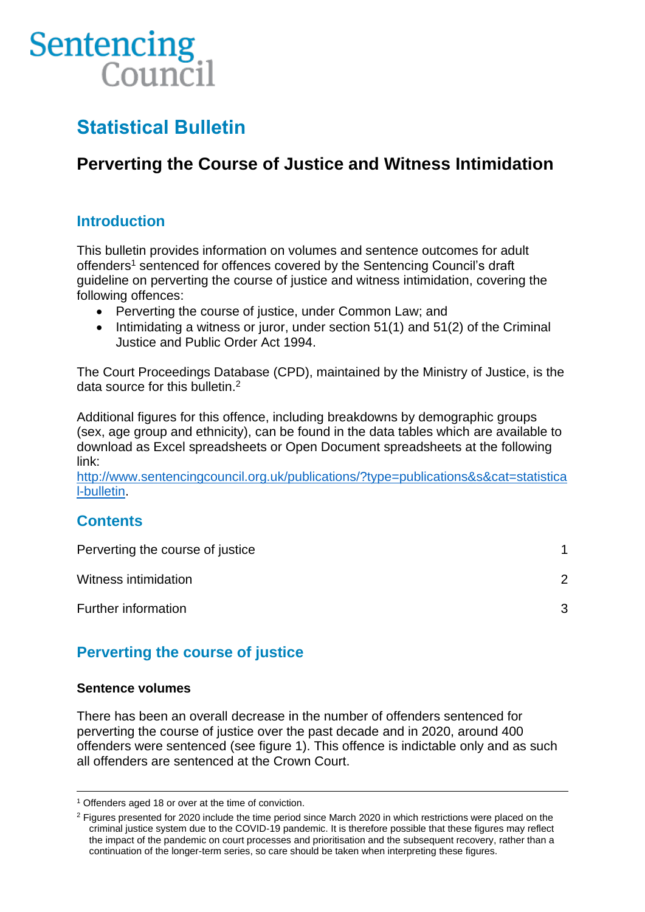# Sentencing Council

# **Statistical Bulletin**

# **Perverting the Course of Justice and Witness Intimidation**

## **Introduction**

This bulletin provides information on volumes and sentence outcomes for adult offenders<sup>1</sup> sentenced for offences covered by the Sentencing Council's draft guideline on perverting the course of justice and witness intimidation, covering the following offences:

- Perverting the course of justice, under Common Law; and
- Intimidating a witness or juror, under section 51(1) and 51(2) of the Criminal Justice and Public Order Act 1994.

The Court Proceedings Database (CPD), maintained by the Ministry of Justice, is the data source for this bulletin.<sup>2</sup>

Additional figures for this offence, including breakdowns by demographic groups (sex, age group and ethnicity), can be found in the data tables which are available to download as Excel spreadsheets or Open Document spreadsheets at the following link:

[http://www.sentencingcouncil.org.uk/publications/?type=publications&s&cat=statistica](http://www.sentencingcouncil.org.uk/publications/?type=publications&s&cat=statistical-bulletin) [l-bulletin.](http://www.sentencingcouncil.org.uk/publications/?type=publications&s&cat=statistical-bulletin)

### **Contents**

| Perverting the course of justice |               |
|----------------------------------|---------------|
| Witness intimidation             | $\mathcal{D}$ |
| Further information              | 3             |

# **Perverting the course of justice**

#### **Sentence volumes**

There has been an overall decrease in the number of offenders sentenced for perverting the course of justice over the past decade and in 2020, around 400 offenders were sentenced (see figure 1). This offence is indictable only and as such all offenders are sentenced at the Crown Court.

<sup>&</sup>lt;sup>1</sup> Offenders aged 18 or over at the time of conviction.

<sup>&</sup>lt;sup>2</sup> Figures presented for 2020 include the time period since March 2020 in which restrictions were placed on the criminal justice system due to the COVID-19 pandemic. It is therefore possible that these figures may reflect the impact of the pandemic on court processes and prioritisation and the subsequent recovery, rather than a continuation of the longer-term series, so care should be taken when interpreting these figures.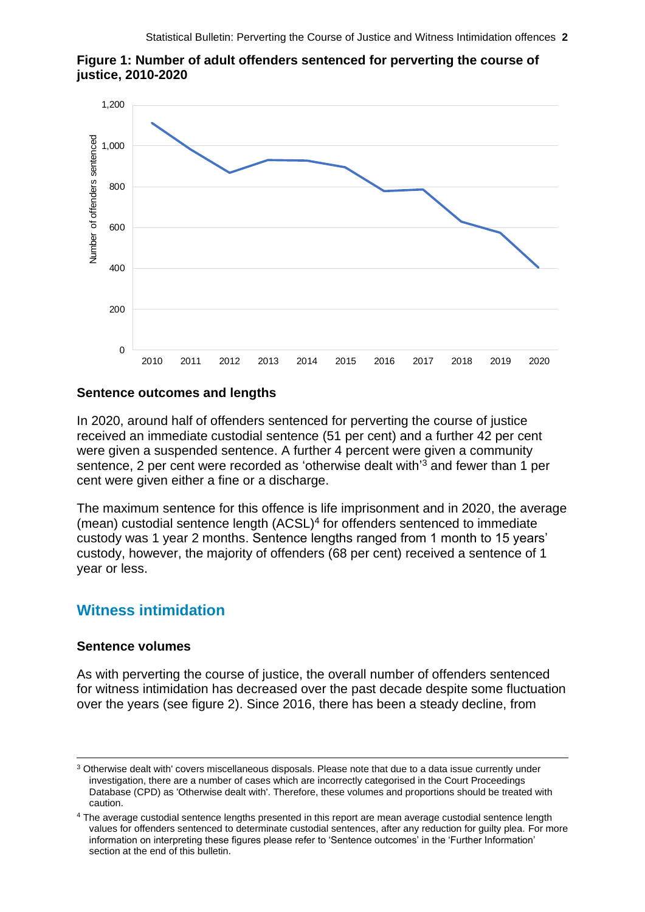



#### **Sentence outcomes and lengths**

<span id="page-1-0"></span>In 2020, around half of offenders sentenced for perverting the course of justice received an immediate custodial sentence (51 per cent) and a further 42 per cent were given a suspended sentence. A further 4 percent were given a community sentence, 2 per cent were recorded as 'otherwise dealt with'<sup>3</sup> and fewer than 1 per cent were given either a fine or a discharge.

The maximum sentence for this offence is life imprisonment and in 2020, the average (mean) custodial sentence length (ACSL)<sup>4</sup> for offenders sentenced to immediate custody was 1 year 2 months. Sentence lengths ranged from 1 month to 15 years' custody, however, the majority of offenders (68 per cent) received a sentence of 1 year or less.

#### **Witness intimidation**

#### **Sentence volumes**

As with perverting the course of justice, the overall number of offenders sentenced for witness intimidation has decreased over the past decade despite some fluctuation over the years (see figure 2). Since 2016, there has been a steady decline, from

<sup>3</sup> Otherwise dealt with' covers miscellaneous disposals. Please note that due to a data issue currently under investigation, there are a number of cases which are incorrectly categorised in the Court Proceedings Database (CPD) as 'Otherwise dealt with'. Therefore, these volumes and proportions should be treated with caution.

<sup>4</sup> The average custodial sentence lengths presented in this report are mean average custodial sentence length values for offenders sentenced to determinate custodial sentences, after any reduction for guilty plea. For more information on interpreting these figures please refer to 'Sentence outcomes' in the 'Further Information' section at the end of this bulletin.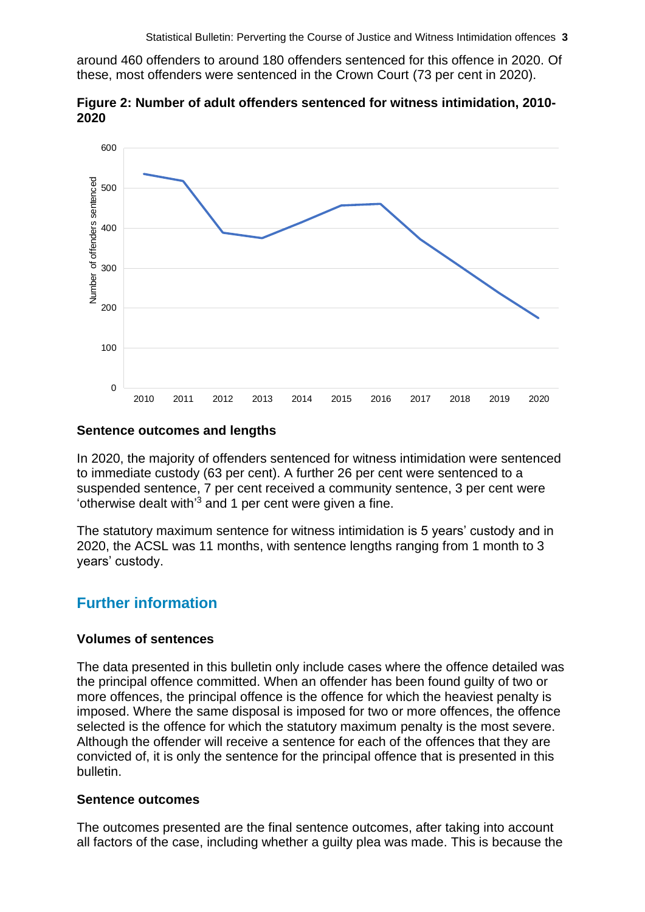around 460 offenders to around 180 offenders sentenced for this offence in 2020. Of these, most offenders were sentenced in the Crown Court (73 per cent in 2020).

**Figure 2: Number of adult offenders sentenced for witness intimidation, 2010- 2020**



#### **Sentence outcomes and lengths**

In 2020, the majority of offenders sentenced for witness intimidation were sentenced to immediate custody (63 per cent). A further 26 per cent were sentenced to a suspended sentence, 7 per cent received a community sentence, 3 per cent were 'otherwise dealt with' [3](#page-1-0) and 1 per cent were given a fine.

The statutory maximum sentence for witness intimidation is 5 years' custody and in 2020, the ACSL was 11 months, with sentence lengths ranging from 1 month to 3 years' custody.

### **Further information**

#### **Volumes of sentences**

The data presented in this bulletin only include cases where the offence detailed was the principal offence committed. When an offender has been found guilty of two or more offences, the principal offence is the offence for which the heaviest penalty is imposed. Where the same disposal is imposed for two or more offences, the offence selected is the offence for which the statutory maximum penalty is the most severe. Although the offender will receive a sentence for each of the offences that they are convicted of, it is only the sentence for the principal offence that is presented in this bulletin.

#### **Sentence outcomes**

The outcomes presented are the final sentence outcomes, after taking into account all factors of the case, including whether a guilty plea was made. This is because the